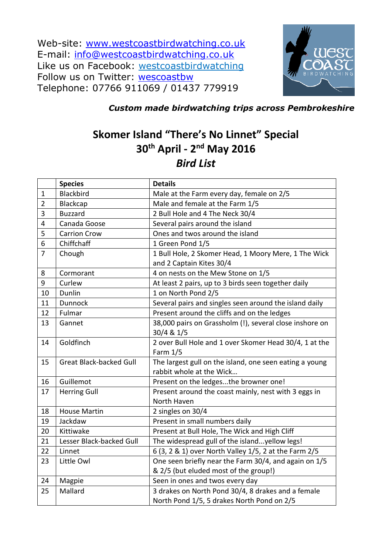Web-site: [www.westcoastbirdwatching.co.uk](http://www.westcoastbirdwatching.co.uk/) E-mail: [info@westcoastbirdwatching.co.uk](mailto:info@westcoastbirdwatching.co.uk) Like us on Facebook: [westcoastbirdwatching](https://www.facebook.com/westcoastbirdwatching) Follow us on Twitter: [wescoastbw](https://twitter.com/westcoastbw) Telephone: 07766 911069 / 01437 779919



## *Custom made birdwatching trips across Pembrokeshire*

## **Skomer Island "There's No Linnet" Special th April - 2 nd May 2016** *Bird List*

|                | <b>Species</b>                 | <b>Details</b>                                                                                   |
|----------------|--------------------------------|--------------------------------------------------------------------------------------------------|
| $\mathbf{1}$   | <b>Blackbird</b>               | Male at the Farm every day, female on 2/5                                                        |
| $\overline{2}$ | <b>Blackcap</b>                | Male and female at the Farm 1/5                                                                  |
| 3              | <b>Buzzard</b>                 | 2 Bull Hole and 4 The Neck 30/4                                                                  |
| 4              | Canada Goose                   | Several pairs around the island                                                                  |
| 5              | <b>Carrion Crow</b>            | Ones and twos around the island                                                                  |
| 6              | Chiffchaff                     | 1 Green Pond 1/5                                                                                 |
| $\overline{7}$ | Chough                         | 1 Bull Hole, 2 Skomer Head, 1 Moory Mere, 1 The Wick                                             |
|                |                                | and 2 Captain Kites 30/4                                                                         |
| 8              | Cormorant                      | 4 on nests on the Mew Stone on 1/5                                                               |
| 9              | Curlew                         | At least 2 pairs, up to 3 birds seen together daily                                              |
| 10             | Dunlin                         | 1 on North Pond 2/5                                                                              |
| 11             | <b>Dunnock</b>                 | Several pairs and singles seen around the island daily                                           |
| 12             | Fulmar                         | Present around the cliffs and on the ledges                                                      |
| 13             | Gannet                         | 38,000 pairs on Grassholm (!), several close inshore on<br>30/4 & 1/5                            |
| 14             | Goldfinch                      | 2 over Bull Hole and 1 over Skomer Head 30/4, 1 at the<br>Farm $1/5$                             |
| 15             | <b>Great Black-backed Gull</b> | The largest gull on the island, one seen eating a young<br>rabbit whole at the Wick              |
| 16             | Guillemot                      | Present on the ledgesthe browner one!                                                            |
| 17             | <b>Herring Gull</b>            | Present around the coast mainly, nest with 3 eggs in<br>North Haven                              |
| 18             | <b>House Martin</b>            | 2 singles on 30/4                                                                                |
| 19             | Jackdaw                        | Present in small numbers daily                                                                   |
| 20             | Kittiwake                      | Present at Bull Hole, The Wick and High Cliff                                                    |
| 21             | Lesser Black-backed Gull       | The widespread gull of the islandyellow legs!                                                    |
| 22             | Linnet                         | 6 (3, 2 & 1) over North Valley 1/5, 2 at the Farm 2/5                                            |
| 23             | Little Owl                     | One seen briefly near the Farm 30/4, and again on 1/5<br>& 2/5 (but eluded most of the group!)   |
| 24             | Magpie                         | Seen in ones and twos every day                                                                  |
| 25             | Mallard                        | 3 drakes on North Pond 30/4, 8 drakes and a female<br>North Pond 1/5, 5 drakes North Pond on 2/5 |